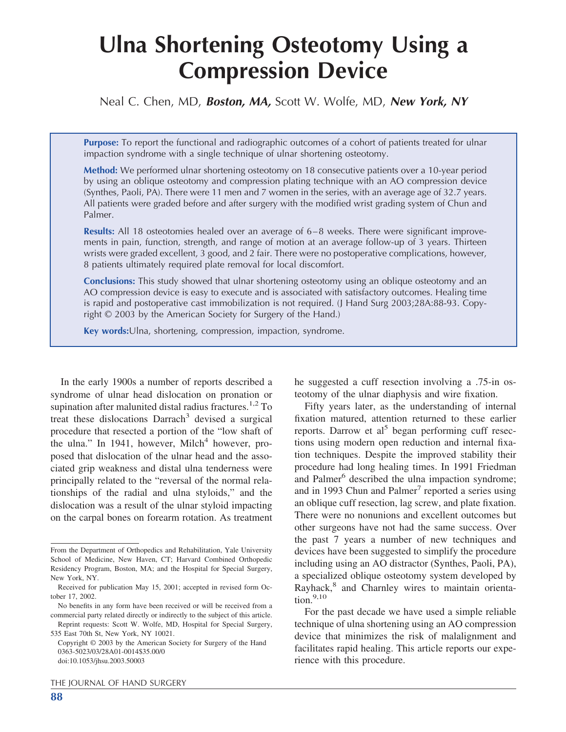# **Ulna Shortening Osteotomy Using a Compression Device**

Neal C. Chen, MD, *Boston, MA,* Scott W. Wolfe, MD, *New York, NY*

**Purpose:** To report the functional and radiographic outcomes of a cohort of patients treated for ulnar impaction syndrome with a single technique of ulnar shortening osteotomy.

**Method:** We performed ulnar shortening osteotomy on 18 consecutive patients over a 10-year period by using an oblique osteotomy and compression plating technique with an AO compression device (Synthes, Paoli, PA). There were 11 men and 7 women in the series, with an average age of 32.7 years. All patients were graded before and after surgery with the modified wrist grading system of Chun and Palmer.

**Results:** All 18 osteotomies healed over an average of 6–8 weeks. There were significant improvements in pain, function, strength, and range of motion at an average follow-up of 3 years. Thirteen wrists were graded excellent, 3 good, and 2 fair. There were no postoperative complications, however, 8 patients ultimately required plate removal for local discomfort.

**Conclusions:** This study showed that ulnar shortening osteotomy using an oblique osteotomy and an AO compression device is easy to execute and is associated with satisfactory outcomes. Healing time is rapid and postoperative cast immobilization is not required. (J Hand Surg 2003;28A:88-93. Copyright © 2003 by the American Society for Surgery of the Hand.)

**Key words:**Ulna, shortening, compression, impaction, syndrome.

In the early 1900s a number of reports described a syndrome of ulnar head dislocation on pronation or supination after malunited distal radius fractures.<sup>1,2</sup> To treat these dislocations  $Darrach<sup>3</sup>$  devised a surgical procedure that resected a portion of the "lowshaft of the ulna." In 1941, however, Milch<sup>4</sup> however, proposed that dislocation of the ulnar head and the associated grip weakness and distal ulna tenderness were principally related to the "reversal of the normal relationships of the radial and ulna styloids," and the dislocation was a result of the ulnar styloid impacting on the carpal bones on forearm rotation. As treatment

THE JOURNAL OF HAND SURGERY

**88**

he suggested a cuff resection involving a .75-in osteotomy of the ulnar diaphysis and wire fixation.

Fifty years later, as the understanding of internal fixation matured, attention returned to these earlier reports. Darrow et al<sup>5</sup> began performing cuff resections using modern open reduction and internal fixation techniques. Despite the improved stability their procedure had long healing times. In 1991 Friedman and Palmer<sup>6</sup> described the ulna impaction syndrome; and in 1993 Chun and Palmer<sup>7</sup> reported a series using an oblique cuff resection, lag screw, and plate fixation. There were no nonunions and excellent outcomes but other surgeons have not had the same success. Over the past 7 years a number of new techniques and devices have been suggested to simplify the procedure including using an AO distractor (Synthes, Paoli, PA), a specialized oblique osteotomy system developed by Rayhack,<sup>8</sup> and Charnley wires to maintain orienta- $\text{tion.}^{9,10}$ 

For the past decade we have used a simple reliable technique of ulna shortening using an AO compression device that minimizes the risk of malalignment and facilitates rapid healing. This article reports our experience with this procedure.

From the Department of Orthopedics and Rehabilitation, Yale University School of Medicine, New Haven, CT; Harvard Combined Orthopedic Residency Program, Boston, MA; and the Hospital for Special Surgery, NewYork, NY.

Received for publication May 15, 2001; accepted in revised form October 17, 2002.

No benefits in any form have been received or will be received from a commercial party related directly or indirectly to the subject of this article.

Reprint requests: Scott W. Wolfe, MD, Hospital for Special Surgery, 535 East 70th St, NewYork, NY 10021.

Copyright © 2003 by the American Society for Surgery of the Hand 0363-5023/03/28A01-0014\$35.00/0 doi:10.1053/jhsu.2003.50003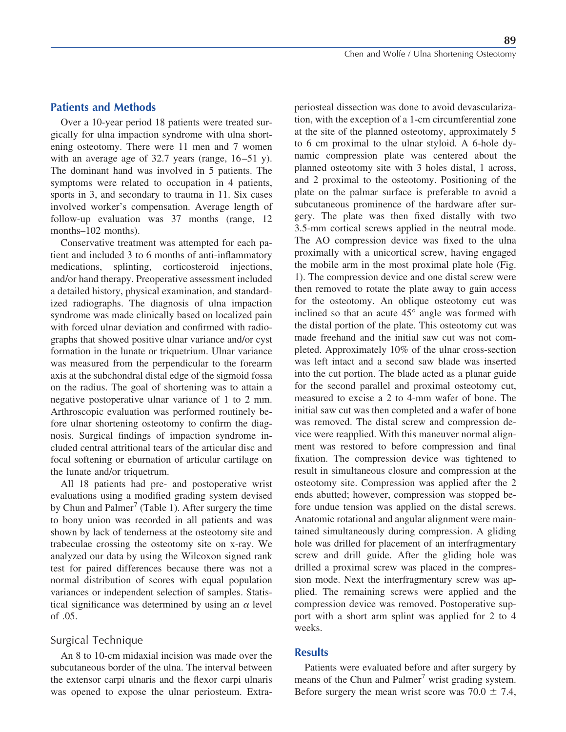**89**

## **Patients and Methods**

Over a 10-year period 18 patients were treated surgically for ulna impaction syndrome with ulna shortening osteotomy. There were 11 men and 7 women with an average age of 32.7 years (range, 16-51 y). The dominant hand was involved in 5 patients. The symptoms were related to occupation in 4 patients, sports in 3, and secondary to trauma in 11. Six cases involved worker's compensation. Average length of follow-up evaluation was 37 months (range, 12 months–102 months).

Conservative treatment was attempted for each patient and included 3 to 6 months of anti-inflammatory medications, splinting, corticosteroid injections, and/or hand therapy. Preoperative assessment included a detailed history, physical examination, and standardized radiographs. The diagnosis of ulna impaction syndrome was made clinically based on localized pain with forced ulnar deviation and confirmed with radiographs that showed positive ulnar variance and/or cyst formation in the lunate or triquetrium. Ulnar variance was measured from the perpendicular to the forearm axis at the subchondral distal edge of the sigmoid fossa on the radius. The goal of shortening was to attain a negative postoperative ulnar variance of 1 to 2 mm. Arthroscopic evaluation was performed routinely before ulnar shortening osteotomy to confirm the diagnosis. Surgical findings of impaction syndrome included central attritional tears of the articular disc and focal softening or eburnation of articular cartilage on the lunate and/or triquetrum.

All 18 patients had pre- and postoperative wrist evaluations using a modified grading system devised by Chun and Palmer<sup>7</sup> (Table 1). After surgery the time to bony union was recorded in all patients and was shown by lack of tenderness at the osteotomy site and trabeculae crossing the osteotomy site on x-ray. We analyzed our data by using the Wilcoxon signed rank test for paired differences because there was not a normal distribution of scores with equal population variances or independent selection of samples. Statistical significance was determined by using an  $\alpha$  level of .05.

# Surgical Technique

An 8 to 10-cm midaxial incision was made over the subcutaneous border of the ulna. The interval between the extensor carpi ulnaris and the flexor carpi ulnaris was opened to expose the ulnar periosteum. Extraperiosteal dissection was done to avoid devascularization, with the exception of a 1-cm circumferential zone at the site of the planned osteotomy, approximately 5 to 6 cm proximal to the ulnar styloid. A 6-hole dynamic compression plate was centered about the planned osteotomy site with 3 holes distal, 1 across, and 2 proximal to the osteotomy. Positioning of the plate on the palmar surface is preferable to avoid a subcutaneous prominence of the hardware after surgery. The plate was then fixed distally with two 3.5-mm cortical screws applied in the neutral mode. The AO compression device was fixed to the ulna proximally with a unicortical screw, having engaged the mobile arm in the most proximal plate hole (Fig. 1). The compression device and one distal screwwere then removed to rotate the plate away to gain access for the osteotomy. An oblique osteotomy cut was inclined so that an acute 45° angle was formed with the distal portion of the plate. This osteotomy cut was made freehand and the initial sawcut was not completed. Approximately 10% of the ulnar cross-section was left intact and a second saw blade was inserted into the cut portion. The blade acted as a planar guide for the second parallel and proximal osteotomy cut, measured to excise a 2 to 4-mm wafer of bone. The initial sawcut was then completed and a wafer of bone was removed. The distal screw and compression device were reapplied. With this maneuver normal alignment was restored to before compression and final fixation. The compression device was tightened to result in simultaneous closure and compression at the osteotomy site. Compression was applied after the 2 ends abutted; however, compression was stopped before undue tension was applied on the distal screws. Anatomic rotational and angular alignment were maintained simultaneously during compression. A gliding hole was drilled for placement of an interfragmentary screw and drill guide. After the gliding hole was drilled a proximal screwwas placed in the compression mode. Next the interfragmentary screw was applied. The remaining screws were applied and the compression device was removed. Postoperative support with a short arm splint was applied for 2 to 4 weeks.

#### **Results**

Patients were evaluated before and after surgery by means of the Chun and Palmer<sup>7</sup> wrist grading system. Before surgery the mean wrist score was  $70.0 \pm 7.4$ ,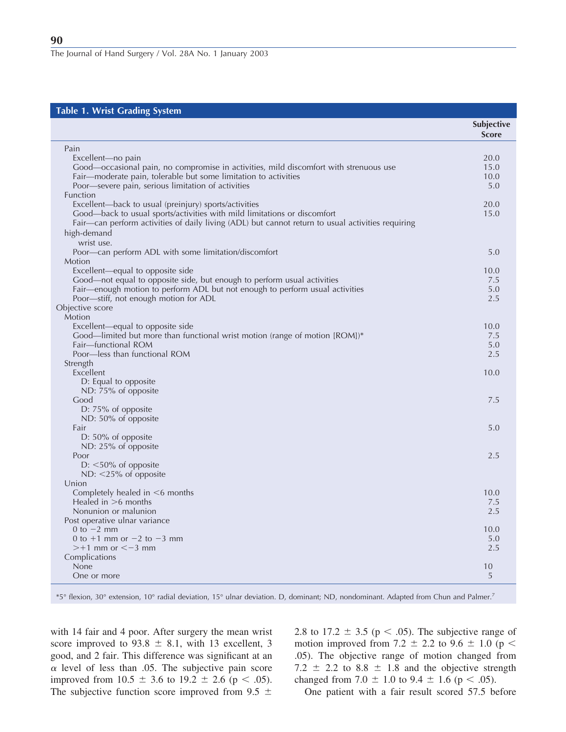#### **Table 1. Wrist Grading System**

| $1400 \cdot 111100 \cdot 144006$<br>5,500                                                         | <b>Subjective</b><br><b>Score</b> |
|---------------------------------------------------------------------------------------------------|-----------------------------------|
| Pain                                                                                              |                                   |
| Excellent-no pain                                                                                 | 20.0                              |
| Good—occasional pain, no compromise in activities, mild discomfort with strenuous use             | 15.0                              |
| Fair-moderate pain, tolerable but some limitation to activities                                   | 10.0                              |
| Poor-severe pain, serious limitation of activities                                                | 5.0                               |
| Function<br>Excellent-back to usual (preinjury) sports/activities                                 | 20.0                              |
| Good-back to usual sports/activities with mild limitations or discomfort                          | 15.0                              |
| Fair—can perform activities of daily living (ADL) but cannot return to usual activities requiring |                                   |
| high-demand                                                                                       |                                   |
| wrist use.                                                                                        |                                   |
| Poor—can perform ADL with some limitation/discomfort                                              | 5.0                               |
| Motion                                                                                            |                                   |
| Excellent-equal to opposite side                                                                  | 10.0                              |
| Good-not equal to opposite side, but enough to perform usual activities                           | 7.5                               |
| Fair-enough motion to perform ADL but not enough to perform usual activities                      | 5.0                               |
| Poor—stiff, not enough motion for ADL                                                             | 2.5                               |
| Objective score                                                                                   |                                   |
| Motion<br>Excellent-equal to opposite side                                                        | 10.0                              |
| Good-limited but more than functional wrist motion (range of motion [ROM])*                       | 7.5                               |
| Fair-functional ROM                                                                               | 5.0                               |
| Poor-less than functional ROM                                                                     | 2.5                               |
| Strength                                                                                          |                                   |
| Excellent                                                                                         | 10.0                              |
| D: Equal to opposite                                                                              |                                   |
| ND: 75% of opposite                                                                               |                                   |
| Good                                                                                              | 7.5                               |
| D: $75\%$ of opposite                                                                             |                                   |
| ND: 50% of opposite                                                                               |                                   |
| Fair                                                                                              | 5.0                               |
| D: 50% of opposite<br>ND: 25% of opposite                                                         |                                   |
| Poor                                                                                              | 2.5                               |
| $D:$ <50% of opposite                                                                             |                                   |
| ND: $<$ 25% of opposite                                                                           |                                   |
| Union                                                                                             |                                   |
| Completely healed in <6 months                                                                    | 10.0                              |
| Healed in $>6$ months                                                                             | 7.5                               |
| Nonunion or malunion                                                                              | 2.5                               |
| Post operative ulnar variance                                                                     |                                   |
| 0 to $-2$ mm                                                                                      | 10.0                              |
| 0 to $+1$ mm or $-2$ to $-3$ mm<br>$>+1$ mm or $<-3$ mm                                           | 5.0<br>2.5                        |
| Complications                                                                                     |                                   |
| None                                                                                              | 10                                |
| One or more                                                                                       | 5                                 |
|                                                                                                   |                                   |

\*5° flexion, 30° extension, 10° radial deviation, 15° ulnar deviation. D, dominant; ND, nondominant. Adapted from Chun and Palmer.7

with 14 fair and 4 poor. After surgery the mean wrist score improved to  $93.8 \pm 8.1$ , with 13 excellent, 3 good, and 2 fair. This difference was significant at an  $\alpha$  level of less than .05. The subjective pain score improved from  $10.5 \pm 3.6$  to  $19.2 \pm 2.6$  (p < .05). The subjective function score improved from 9.5  $\pm$ 

2.8 to 17.2  $\pm$  3.5 (p < .05). The subjective range of motion improved from 7.2  $\pm$  2.2 to 9.6  $\pm$  1.0 (p < .05). The objective range of motion changed from 7.2  $\pm$  2.2 to 8.8  $\pm$  1.8 and the objective strength changed from 7.0  $\pm$  1.0 to 9.4  $\pm$  1.6 (p < .05).

One patient with a fair result scored 57.5 before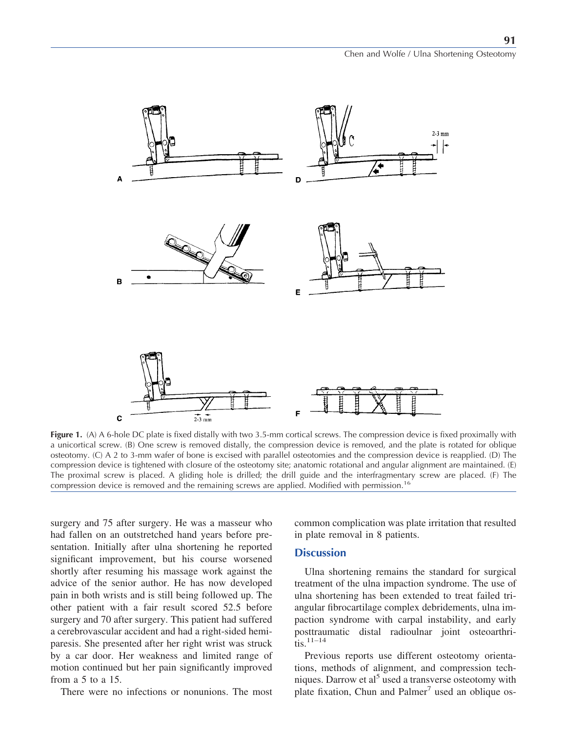

**Figure 1.** (A) A 6-hole DC plate is fixed distally with two 3.5-mm cortical screws. The compression device is fixed proximally with a unicortical screw. (B) One screw is removed distally, the compression device is removed, and the plate is rotated for oblique osteotomy. (C) A 2 to 3-mm wafer of bone is excised with parallel osteotomies and the compression device is reapplied. (D) The compression device is tightened with closure of the osteotomy site; anatomic rotational and angular alignment are maintained. (E) The proximal screw is placed. A gliding hole is drilled; the drill guide and the interfragmentary screw are placed. (F) The compression device is removed and the remaining screws are applied. Modified with permission.<sup>16</sup>

surgery and 75 after surgery. He was a masseur who had fallen on an outstretched hand years before presentation. Initially after ulna shortening he reported significant improvement, but his course worsened shortly after resuming his massage work against the advice of the senior author. He has now developed pain in both wrists and is still being followed up. The other patient with a fair result scored 52.5 before surgery and 70 after surgery. This patient had suffered a cerebrovascular accident and had a right-sided hemiparesis. She presented after her right wrist was struck by a car door. Her weakness and limited range of motion continued but her pain significantly improved from a 5 to a 15.

There were no infections or nonunions. The most

common complication was plate irritation that resulted in plate removal in 8 patients.

#### **Discussion**

Ulna shortening remains the standard for surgical treatment of the ulna impaction syndrome. The use of ulna shortening has been extended to treat failed triangular fibrocartilage complex debridements, ulna impaction syndrome with carpal instability, and early posttraumatic distal radioulnar joint osteoarthri- $\overline{\text{t}}$  tis.  $11-14$ 

Previous reports use different osteotomy orientations, methods of alignment, and compression techniques. Darrow et al<sup>5</sup> used a transverse osteotomy with plate fixation, Chun and Palmer<sup>7</sup> used an oblique os-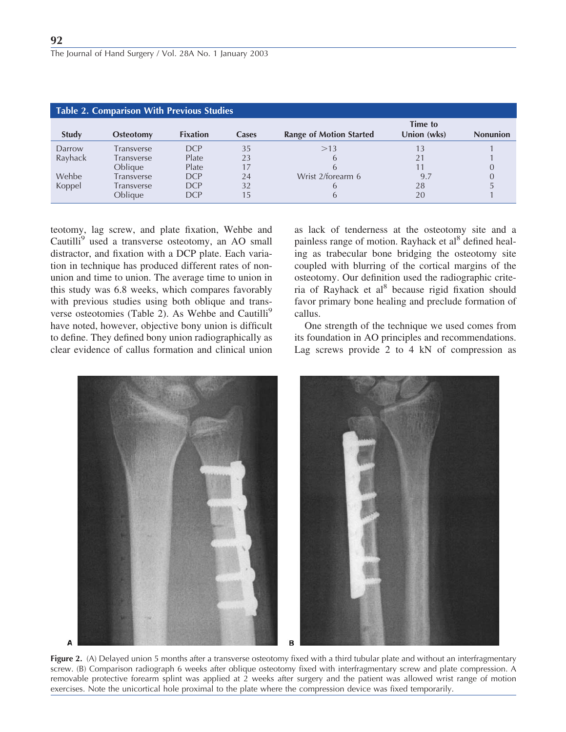| <b>Table 2. Comparison With Previous Studies</b> |                  |                 |              |                                |                        |                 |  |  |
|--------------------------------------------------|------------------|-----------------|--------------|--------------------------------|------------------------|-----------------|--|--|
| <b>Study</b>                                     | <b>Osteotomy</b> | <b>Fixation</b> | <b>Cases</b> | <b>Range of Motion Started</b> | Time to<br>Union (wks) | <b>Nonunion</b> |  |  |
| Darrow                                           | Transverse       | <b>DCP</b>      | 35           | >13                            | 13                     |                 |  |  |
| Rayhack                                          | Transverse       | Plate           | 23           | h                              |                        |                 |  |  |
|                                                  | Oblique          | Plate           | 17           |                                |                        |                 |  |  |
| Wehbe                                            | Transverse       | <b>DCP</b>      | 24           | Wrist 2/forearm 6              | 9.7                    |                 |  |  |
| Koppel                                           | Transverse       | <b>DCP</b>      | 32           | h                              | 28                     |                 |  |  |
|                                                  | Oblique          | DCP             | 15           | h                              | 20                     |                 |  |  |

teotomy, lag screw, and plate fixation, Wehbe and Cautilli<sup>9</sup> used a transverse osteotomy, an AO small distractor, and fixation with a DCP plate. Each variation in technique has produced different rates of nonunion and time to union. The average time to union in this study was 6.8 weeks, which compares favorably with previous studies using both oblique and transverse osteotomies (Table 2). As Wehbe and Cautilli<sup>9</sup> have noted, however, objective bony union is difficult to define. They defined bony union radiographically as clear evidence of callus formation and clinical union

as lack of tenderness at the osteotomy site and a painless range of motion. Rayhack et al<sup>8</sup> defined healing as trabecular bone bridging the osteotomy site coupled with blurring of the cortical margins of the osteotomy. Our definition used the radiographic criteria of Rayhack et al<sup>8</sup> because rigid fixation should favor primary bone healing and preclude formation of callus.

One strength of the technique we used comes from its foundation in AO principles and recommendations. Lag screws provide 2 to 4 kN of compression as



**Figure 2.** (A) Delayed union 5 months after a transverse osteotomy fixed with a third tubular plate and without an interfragmentary screw. (B) Comparison radiograph 6 weeks after oblique osteotomy fixed with interfragmentary screw and plate compression. A removable protective forearm splint was applied at 2 weeks after surgery and the patient was allowed wrist range of motion exercises. Note the unicortical hole proximal to the plate where the compression device was fixed temporarily.